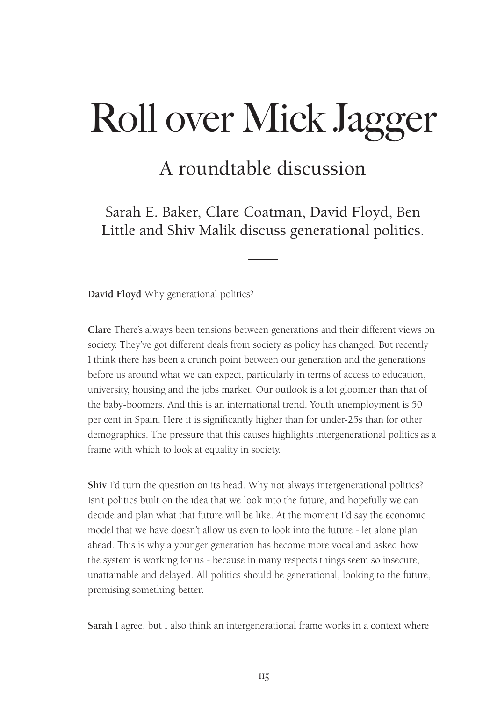# A roundtable discussion

Sarah E. Baker, Clare Coatman, David Floyd, Ben Little and Shiv Malik discuss generational politics.

**David Floyd** Why generational politics?

**Clare** There's always been tensions between generations and their different views on society. They've got different deals from society as policy has changed. But recently I think there has been a crunch point between our generation and the generations before us around what we can expect, particularly in terms of access to education, university, housing and the jobs market. Our outlook is a lot gloomier than that of the baby-boomers. And this is an international trend. Youth unemployment is 50 per cent in Spain. Here it is significantly higher than for under-25s than for other demographics. The pressure that this causes highlights intergenerational politics as a frame with which to look at equality in society.

**Shiv** I'd turn the question on its head. Why not always intergenerational politics? Isn't politics built on the idea that we look into the future, and hopefully we can decide and plan what that future will be like. At the moment I'd say the economic model that we have doesn't allow us even to look into the future - let alone plan ahead. This is why a younger generation has become more vocal and asked how the system is working for us - because in many respects things seem so insecure, unattainable and delayed. All politics should be generational, looking to the future, promising something better.

**Sarah** I agree, but I also think an intergenerational frame works in a context where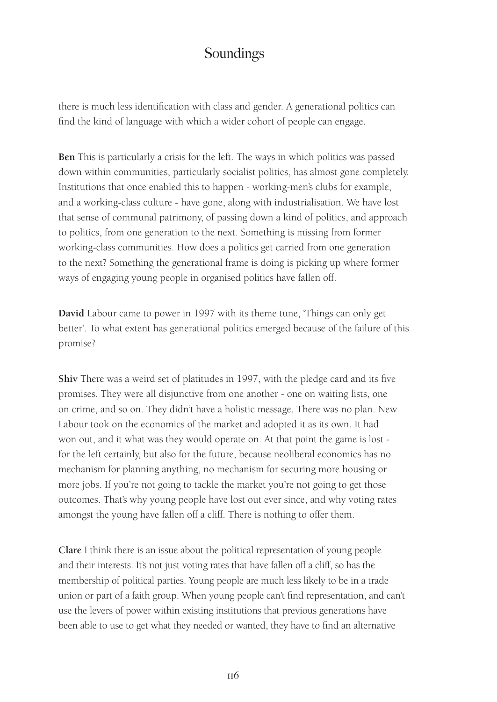there is much less identification with class and gender. A generational politics can find the kind of language with which a wider cohort of people can engage.

**Ben** This is particularly a crisis for the left. The ways in which politics was passed down within communities, particularly socialist politics, has almost gone completely. Institutions that once enabled this to happen - working-men's clubs for example, and a working-class culture - have gone, along with industrialisation. We have lost that sense of communal patrimony, of passing down a kind of politics, and approach to politics, from one generation to the next. Something is missing from former working-class communities. How does a politics get carried from one generation to the next? Something the generational frame is doing is picking up where former ways of engaging young people in organised politics have fallen off.

**David** Labour came to power in 1997 with its theme tune, 'Things can only get better'. To what extent has generational politics emerged because of the failure of this promise?

**Shiv** There was a weird set of platitudes in 1997, with the pledge card and its five promises. They were all disjunctive from one another - one on waiting lists, one on crime, and so on. They didn't have a holistic message. There was no plan. New Labour took on the economics of the market and adopted it as its own. It had won out, and it what was they would operate on. At that point the game is lost for the left certainly, but also for the future, because neoliberal economics has no mechanism for planning anything, no mechanism for securing more housing or more jobs. If you're not going to tackle the market you're not going to get those outcomes. That's why young people have lost out ever since, and why voting rates amongst the young have fallen off a cliff. There is nothing to offer them.

**Clare** I think there is an issue about the political representation of young people and their interests. It's not just voting rates that have fallen off a cliff, so has the membership of political parties. Young people are much less likely to be in a trade union or part of a faith group. When young people can't find representation, and can't use the levers of power within existing institutions that previous generations have been able to use to get what they needed or wanted, they have to find an alternative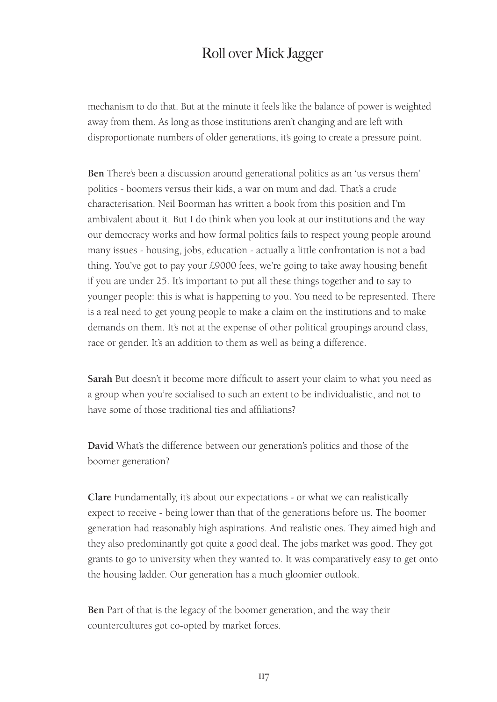mechanism to do that. But at the minute it feels like the balance of power is weighted away from them. As long as those institutions aren't changing and are left with disproportionate numbers of older generations, it's going to create a pressure point.

**Ben** There's been a discussion around generational politics as an 'us versus them' politics - boomers versus their kids, a war on mum and dad. That's a crude characterisation. Neil Boorman has written a book from this position and I'm ambivalent about it. But I do think when you look at our institutions and the way our democracy works and how formal politics fails to respect young people around many issues - housing, jobs, education - actually a little confrontation is not a bad thing. You've got to pay your £9000 fees, we're going to take away housing benefit if you are under 25. It's important to put all these things together and to say to younger people: this is what is happening to you. You need to be represented. There is a real need to get young people to make a claim on the institutions and to make demands on them. It's not at the expense of other political groupings around class, race or gender. It's an addition to them as well as being a difference.

**Sarah** But doesn't it become more difficult to assert your claim to what you need as a group when you're socialised to such an extent to be individualistic, and not to have some of those traditional ties and affiliations?

**David** What's the difference between our generation's politics and those of the boomer generation?

**Clare** Fundamentally, it's about our expectations - or what we can realistically expect to receive - being lower than that of the generations before us. The boomer generation had reasonably high aspirations. And realistic ones. They aimed high and they also predominantly got quite a good deal. The jobs market was good. They got grants to go to university when they wanted to. It was comparatively easy to get onto the housing ladder. Our generation has a much gloomier outlook.

**Ben** Part of that is the legacy of the boomer generation, and the way their countercultures got co-opted by market forces.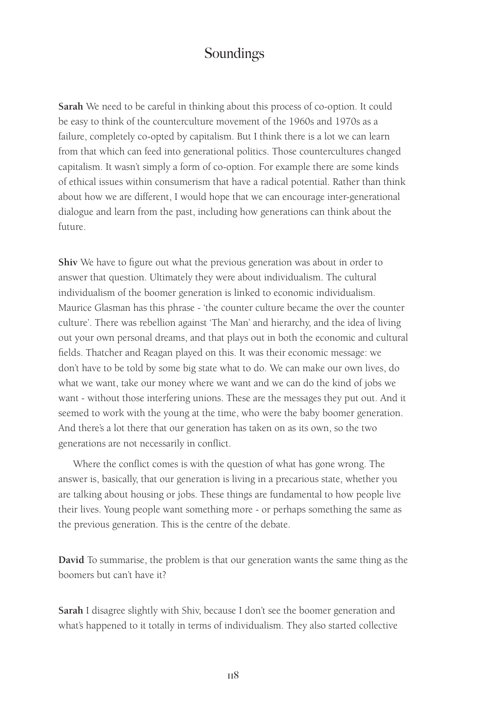**Sarah** We need to be careful in thinking about this process of co-option. It could be easy to think of the counterculture movement of the 1960s and 1970s as a failure, completely co-opted by capitalism. But I think there is a lot we can learn from that which can feed into generational politics. Those countercultures changed capitalism. It wasn't simply a form of co-option. For example there are some kinds of ethical issues within consumerism that have a radical potential. Rather than think about how we are different, I would hope that we can encourage inter-generational dialogue and learn from the past, including how generations can think about the future.

**Shiv** We have to figure out what the previous generation was about in order to answer that question. Ultimately they were about individualism. The cultural individualism of the boomer generation is linked to economic individualism. Maurice Glasman has this phrase - 'the counter culture became the over the counter culture'. There was rebellion against 'The Man' and hierarchy, and the idea of living out your own personal dreams, and that plays out in both the economic and cultural fields. Thatcher and Reagan played on this. It was their economic message: we don't have to be told by some big state what to do. We can make our own lives, do what we want, take our money where we want and we can do the kind of jobs we want - without those interfering unions. These are the messages they put out. And it seemed to work with the young at the time, who were the baby boomer generation. And there's a lot there that our generation has taken on as its own, so the two generations are not necessarily in conflict.

Where the conflict comes is with the question of what has gone wrong. The answer is, basically, that our generation is living in a precarious state, whether you are talking about housing or jobs. These things are fundamental to how people live their lives. Young people want something more - or perhaps something the same as the previous generation. This is the centre of the debate.

**David** To summarise, the problem is that our generation wants the same thing as the boomers but can't have it?

**Sarah** I disagree slightly with Shiv, because I don't see the boomer generation and what's happened to it totally in terms of individualism. They also started collective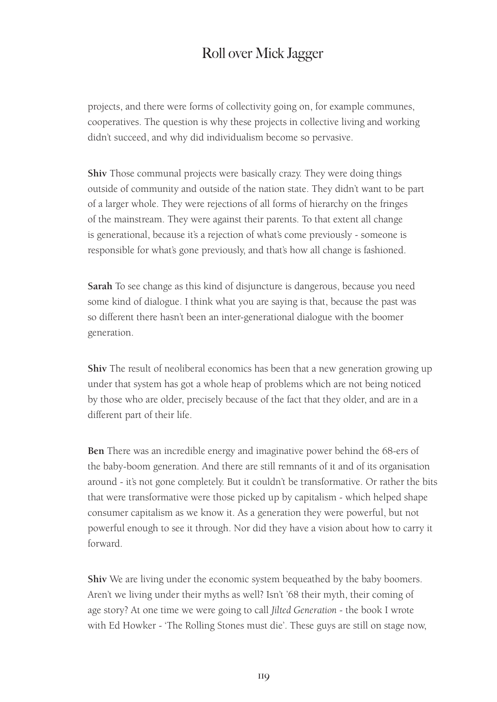projects, and there were forms of collectivity going on, for example communes, cooperatives. The question is why these projects in collective living and working didn't succeed, and why did individualism become so pervasive.

**Shiv** Those communal projects were basically crazy. They were doing things outside of community and outside of the nation state. They didn't want to be part of a larger whole. They were rejections of all forms of hierarchy on the fringes of the mainstream. They were against their parents. To that extent all change is generational, because it's a rejection of what's come previously - someone is responsible for what's gone previously, and that's how all change is fashioned.

**Sarah** To see change as this kind of disjuncture is dangerous, because you need some kind of dialogue. I think what you are saying is that, because the past was so different there hasn't been an inter-generational dialogue with the boomer generation.

**Shiv** The result of neoliberal economics has been that a new generation growing up under that system has got a whole heap of problems which are not being noticed by those who are older, precisely because of the fact that they older, and are in a different part of their life.

**Ben** There was an incredible energy and imaginative power behind the 68-ers of the baby-boom generation. And there are still remnants of it and of its organisation around - it's not gone completely. But it couldn't be transformative. Or rather the bits that were transformative were those picked up by capitalism - which helped shape consumer capitalism as we know it. As a generation they were powerful, but not powerful enough to see it through. Nor did they have a vision about how to carry it forward.

**Shiv** We are living under the economic system bequeathed by the baby boomers. Aren't we living under their myths as well? Isn't '68 their myth, their coming of age story? At one time we were going to call *Jilted Generation* - the book I wrote with Ed Howker - 'The Rolling Stones must die'. These guys are still on stage now,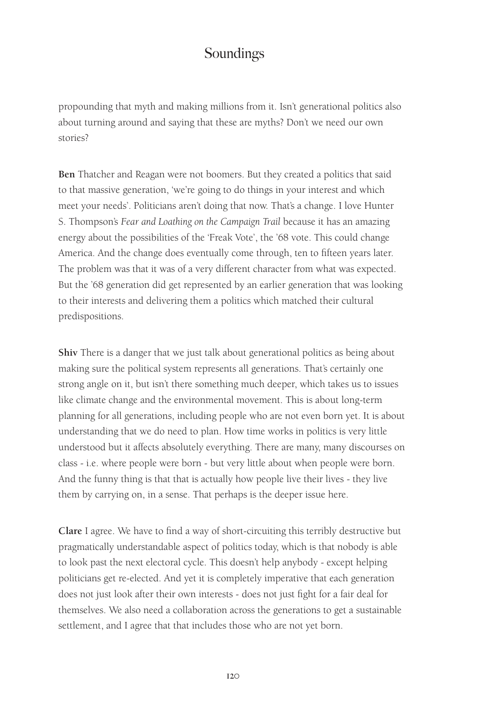propounding that myth and making millions from it. Isn't generational politics also about turning around and saying that these are myths? Don't we need our own stories?

**Ben** Thatcher and Reagan were not boomers. But they created a politics that said to that massive generation, 'we're going to do things in your interest and which meet your needs'. Politicians aren't doing that now. That's a change. I love Hunter S. Thompson's *Fear and Loathing on the Campaign Trail* because it has an amazing energy about the possibilities of the 'Freak Vote', the '68 vote. This could change America. And the change does eventually come through, ten to fifteen years later. The problem was that it was of a very different character from what was expected. But the '68 generation did get represented by an earlier generation that was looking to their interests and delivering them a politics which matched their cultural predispositions.

**Shiv** There is a danger that we just talk about generational politics as being about making sure the political system represents all generations. That's certainly one strong angle on it, but isn't there something much deeper, which takes us to issues like climate change and the environmental movement. This is about long-term planning for all generations, including people who are not even born yet. It is about understanding that we do need to plan. How time works in politics is very little understood but it affects absolutely everything. There are many, many discourses on class - i.e. where people were born - but very little about when people were born. And the funny thing is that that is actually how people live their lives - they live them by carrying on, in a sense. That perhaps is the deeper issue here.

**Clare** I agree. We have to find a way of short-circuiting this terribly destructive but pragmatically understandable aspect of politics today, which is that nobody is able to look past the next electoral cycle. This doesn't help anybody - except helping politicians get re-elected. And yet it is completely imperative that each generation does not just look after their own interests - does not just fight for a fair deal for themselves. We also need a collaboration across the generations to get a sustainable settlement, and I agree that that includes those who are not yet born.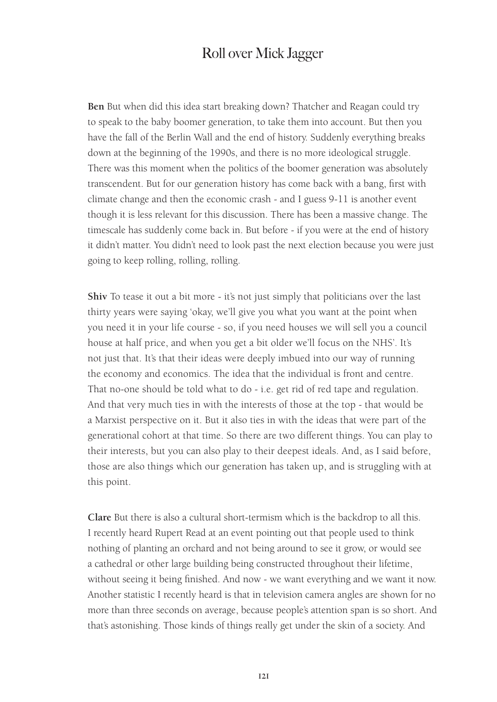**Ben** But when did this idea start breaking down? Thatcher and Reagan could try to speak to the baby boomer generation, to take them into account. But then you have the fall of the Berlin Wall and the end of history. Suddenly everything breaks down at the beginning of the 1990s, and there is no more ideological struggle. There was this moment when the politics of the boomer generation was absolutely transcendent. But for our generation history has come back with a bang, first with climate change and then the economic crash - and I guess 9-11 is another event though it is less relevant for this discussion. There has been a massive change. The timescale has suddenly come back in. But before - if you were at the end of history it didn't matter. You didn't need to look past the next election because you were just going to keep rolling, rolling, rolling.

**Shiv** To tease it out a bit more - it's not just simply that politicians over the last thirty years were saying 'okay, we'll give you what you want at the point when you need it in your life course - so, if you need houses we will sell you a council house at half price, and when you get a bit older we'll focus on the NHS'. It's not just that. It's that their ideas were deeply imbued into our way of running the economy and economics. The idea that the individual is front and centre. That no-one should be told what to do - i.e. get rid of red tape and regulation. And that very much ties in with the interests of those at the top - that would be a Marxist perspective on it. But it also ties in with the ideas that were part of the generational cohort at that time. So there are two different things. You can play to their interests, but you can also play to their deepest ideals. And, as I said before, those are also things which our generation has taken up, and is struggling with at this point.

**Clare** But there is also a cultural short-termism which is the backdrop to all this. I recently heard Rupert Read at an event pointing out that people used to think nothing of planting an orchard and not being around to see it grow, or would see a cathedral or other large building being constructed throughout their lifetime, without seeing it being finished. And now - we want everything and we want it now. Another statistic I recently heard is that in television camera angles are shown for no more than three seconds on average, because people's attention span is so short. And that's astonishing. Those kinds of things really get under the skin of a society. And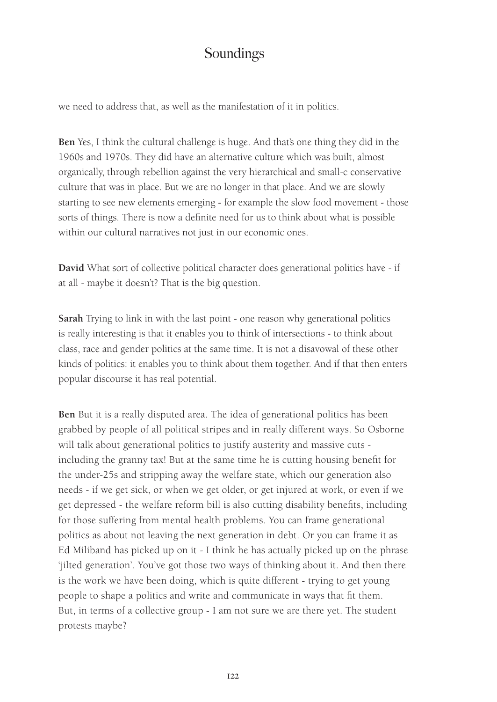we need to address that, as well as the manifestation of it in politics.

**Ben** Yes, I think the cultural challenge is huge. And that's one thing they did in the 1960s and 1970s. They did have an alternative culture which was built, almost organically, through rebellion against the very hierarchical and small-c conservative culture that was in place. But we are no longer in that place. And we are slowly starting to see new elements emerging - for example the slow food movement - those sorts of things. There is now a definite need for us to think about what is possible within our cultural narratives not just in our economic ones.

**David** What sort of collective political character does generational politics have - if at all - maybe it doesn't? That is the big question.

**Sarah** Trying to link in with the last point - one reason why generational politics is really interesting is that it enables you to think of intersections - to think about class, race and gender politics at the same time. It is not a disavowal of these other kinds of politics: it enables you to think about them together. And if that then enters popular discourse it has real potential.

**Ben** But it is a really disputed area. The idea of generational politics has been grabbed by people of all political stripes and in really different ways. So Osborne will talk about generational politics to justify austerity and massive cuts including the granny tax! But at the same time he is cutting housing benefit for the under-25s and stripping away the welfare state, which our generation also needs - if we get sick, or when we get older, or get injured at work, or even if we get depressed - the welfare reform bill is also cutting disability benefits, including for those suffering from mental health problems. You can frame generational politics as about not leaving the next generation in debt. Or you can frame it as Ed Miliband has picked up on it - I think he has actually picked up on the phrase 'jilted generation'. You've got those two ways of thinking about it. And then there is the work we have been doing, which is quite different - trying to get young people to shape a politics and write and communicate in ways that fit them. But, in terms of a collective group - I am not sure we are there yet. The student protests maybe?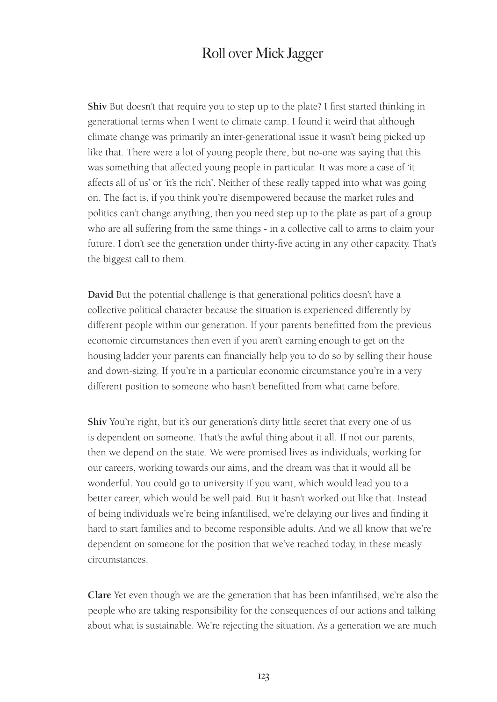**Shiv** But doesn't that require you to step up to the plate? I first started thinking in generational terms when I went to climate camp. I found it weird that although climate change was primarily an inter-generational issue it wasn't being picked up like that. There were a lot of young people there, but no-one was saying that this was something that affected young people in particular. It was more a case of 'it affects all of us' or 'it's the rich'. Neither of these really tapped into what was going on. The fact is, if you think you're disempowered because the market rules and politics can't change anything, then you need step up to the plate as part of a group who are all suffering from the same things - in a collective call to arms to claim your future. I don't see the generation under thirty-five acting in any other capacity. That's the biggest call to them.

**David** But the potential challenge is that generational politics doesn't have a collective political character because the situation is experienced differently by different people within our generation. If your parents benefitted from the previous economic circumstances then even if you aren't earning enough to get on the housing ladder your parents can financially help you to do so by selling their house and down-sizing. If you're in a particular economic circumstance you're in a very different position to someone who hasn't benefitted from what came before.

Shiv You're right, but it's our generation's dirty little secret that every one of us is dependent on someone. That's the awful thing about it all. If not our parents, then we depend on the state. We were promised lives as individuals, working for our careers, working towards our aims, and the dream was that it would all be wonderful. You could go to university if you want, which would lead you to a better career, which would be well paid. But it hasn't worked out like that. Instead of being individuals we're being infantilised, we're delaying our lives and finding it hard to start families and to become responsible adults. And we all know that we're dependent on someone for the position that we've reached today, in these measly circumstances.

**Clare** Yet even though we are the generation that has been infantilised, we're also the people who are taking responsibility for the consequences of our actions and talking about what is sustainable. We're rejecting the situation. As a generation we are much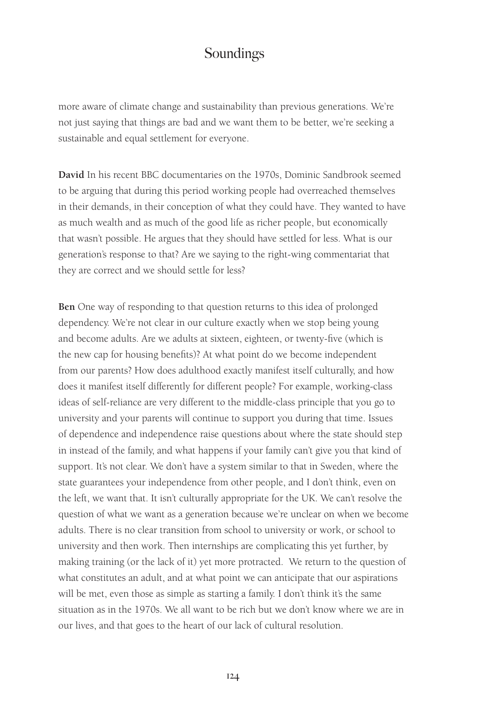more aware of climate change and sustainability than previous generations. We're not just saying that things are bad and we want them to be better, we're seeking a sustainable and equal settlement for everyone.

**David** In his recent BBC documentaries on the 1970s, Dominic Sandbrook seemed to be arguing that during this period working people had overreached themselves in their demands, in their conception of what they could have. They wanted to have as much wealth and as much of the good life as richer people, but economically that wasn't possible. He argues that they should have settled for less. What is our generation's response to that? Are we saying to the right-wing commentariat that they are correct and we should settle for less?

**Ben** One way of responding to that question returns to this idea of prolonged dependency. We're not clear in our culture exactly when we stop being young and become adults. Are we adults at sixteen, eighteen, or twenty-five (which is the new cap for housing benefits)? At what point do we become independent from our parents? How does adulthood exactly manifest itself culturally, and how does it manifest itself differently for different people? For example, working-class ideas of self-reliance are very different to the middle-class principle that you go to university and your parents will continue to support you during that time. Issues of dependence and independence raise questions about where the state should step in instead of the family, and what happens if your family can't give you that kind of support. It's not clear. We don't have a system similar to that in Sweden, where the state guarantees your independence from other people, and I don't think, even on the left, we want that. It isn't culturally appropriate for the UK. We can't resolve the question of what we want as a generation because we're unclear on when we become adults. There is no clear transition from school to university or work, or school to university and then work. Then internships are complicating this yet further, by making training (or the lack of it) yet more protracted. We return to the question of what constitutes an adult, and at what point we can anticipate that our aspirations will be met, even those as simple as starting a family. I don't think it's the same situation as in the 1970s. We all want to be rich but we don't know where we are in our lives, and that goes to the heart of our lack of cultural resolution.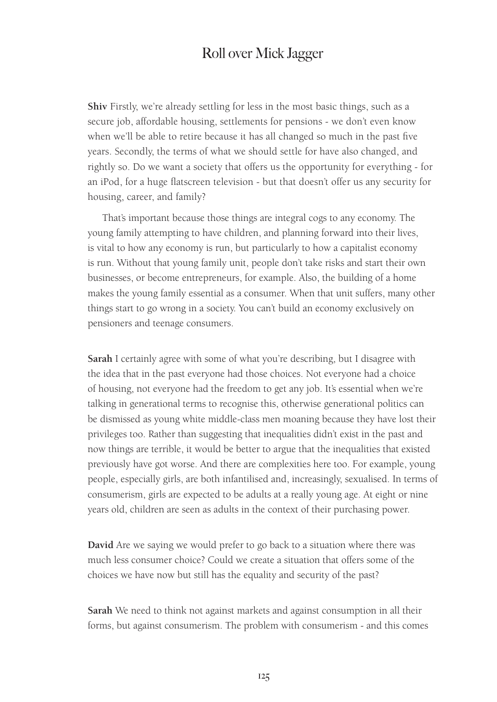**Shiv** Firstly, we're already settling for less in the most basic things, such as a secure job, affordable housing, settlements for pensions - we don't even know when we'll be able to retire because it has all changed so much in the past five years. Secondly, the terms of what we should settle for have also changed, and rightly so. Do we want a society that offers us the opportunity for everything - for an iPod, for a huge flatscreen television - but that doesn't offer us any security for housing, career, and family?

That's important because those things are integral cogs to any economy. The young family attempting to have children, and planning forward into their lives, is vital to how any economy is run, but particularly to how a capitalist economy is run. Without that young family unit, people don't take risks and start their own businesses, or become entrepreneurs, for example. Also, the building of a home makes the young family essential as a consumer. When that unit suffers, many other things start to go wrong in a society. You can't build an economy exclusively on pensioners and teenage consumers.

**Sarah** I certainly agree with some of what you're describing, but I disagree with the idea that in the past everyone had those choices. Not everyone had a choice of housing, not everyone had the freedom to get any job. It's essential when we're talking in generational terms to recognise this, otherwise generational politics can be dismissed as young white middle-class men moaning because they have lost their privileges too. Rather than suggesting that inequalities didn't exist in the past and now things are terrible, it would be better to argue that the inequalities that existed previously have got worse. And there are complexities here too. For example, young people, especially girls, are both infantilised and, increasingly, sexualised. In terms of consumerism, girls are expected to be adults at a really young age. At eight or nine years old, children are seen as adults in the context of their purchasing power.

**David** Are we saying we would prefer to go back to a situation where there was much less consumer choice? Could we create a situation that offers some of the choices we have now but still has the equality and security of the past?

**Sarah** We need to think not against markets and against consumption in all their forms, but against consumerism. The problem with consumerism - and this comes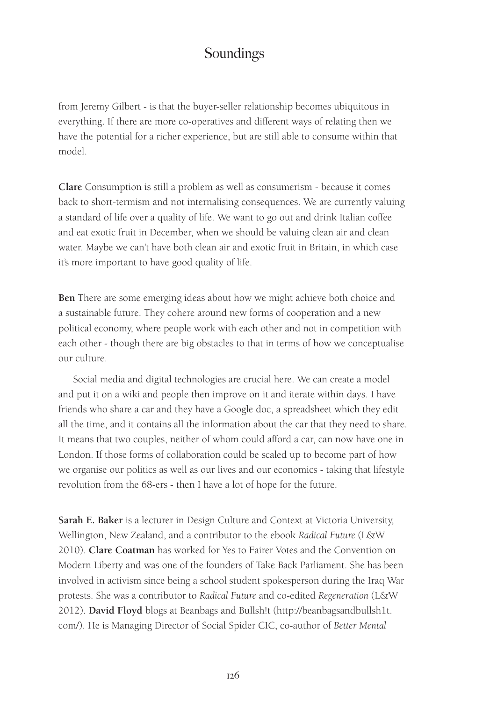from Jeremy Gilbert - is that the buyer-seller relationship becomes ubiquitous in everything. If there are more co-operatives and different ways of relating then we have the potential for a richer experience, but are still able to consume within that model.

**Clare** Consumption is still a problem as well as consumerism - because it comes back to short-termism and not internalising consequences. We are currently valuing a standard of life over a quality of life. We want to go out and drink Italian coffee and eat exotic fruit in December, when we should be valuing clean air and clean water. Maybe we can't have both clean air and exotic fruit in Britain, in which case it's more important to have good quality of life.

**Ben** There are some emerging ideas about how we might achieve both choice and a sustainable future. They cohere around new forms of cooperation and a new political economy, where people work with each other and not in competition with each other - though there are big obstacles to that in terms of how we conceptualise our culture.

Social media and digital technologies are crucial here. We can create a model and put it on a wiki and people then improve on it and iterate within days. I have friends who share a car and they have a Google doc, a spreadsheet which they edit all the time, and it contains all the information about the car that they need to share. It means that two couples, neither of whom could afford a car, can now have one in London. If those forms of collaboration could be scaled up to become part of how we organise our politics as well as our lives and our economics - taking that lifestyle revolution from the 68-ers - then I have a lot of hope for the future.

**Sarah E. Baker** is a lecturer in Design Culture and Context at Victoria University, Wellington, New Zealand, and a contributor to the ebook *Radical Future* (L&W 2010). **Clare Coatman** has worked for Yes to Fairer Votes and the Convention on Modern Liberty and was one of the founders of Take Back Parliament. She has been involved in activism since being a school student spokesperson during the Iraq War protests. She was a contributor to *Radical Future* and co-edited *Regeneration* (L&W 2012). **David Floyd** blogs at Beanbags and Bullsh!t (http://beanbagsandbullsh1t. com/). He is Managing Director of Social Spider CIC, co-author of *Better Mental*